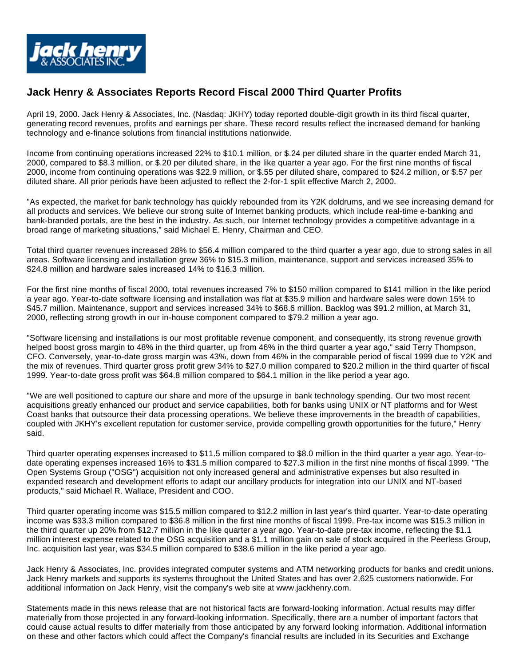

## **Jack Henry & Associates Reports Record Fiscal 2000 Third Quarter Profits**

April 19, 2000. Jack Henry & Associates, Inc. (Nasdaq: JKHY) today reported double-digit growth in its third fiscal quarter, generating record revenues, profits and earnings per share. These record results reflect the increased demand for banking technology and e-finance solutions from financial institutions nationwide.

Income from continuing operations increased 22% to \$10.1 million, or \$.24 per diluted share in the quarter ended March 31, 2000, compared to \$8.3 million, or \$.20 per diluted share, in the like quarter a year ago. For the first nine months of fiscal 2000, income from continuing operations was \$22.9 million, or \$.55 per diluted share, compared to \$24.2 million, or \$.57 per diluted share. All prior periods have been adjusted to reflect the 2-for-1 split effective March 2, 2000.

"As expected, the market for bank technology has quickly rebounded from its Y2K doldrums, and we see increasing demand for all products and services. We believe our strong suite of Internet banking products, which include real-time e-banking and bank-branded portals, are the best in the industry. As such, our Internet technology provides a competitive advantage in a broad range of marketing situations," said Michael E. Henry, Chairman and CEO.

Total third quarter revenues increased 28% to \$56.4 million compared to the third quarter a year ago, due to strong sales in all areas. Software licensing and installation grew 36% to \$15.3 million, maintenance, support and services increased 35% to \$24.8 million and hardware sales increased 14% to \$16.3 million.

For the first nine months of fiscal 2000, total revenues increased 7% to \$150 million compared to \$141 million in the like period a year ago. Year-to-date software licensing and installation was flat at \$35.9 million and hardware sales were down 15% to \$45.7 million. Maintenance, support and services increased 34% to \$68.6 million. Backlog was \$91.2 million, at March 31, 2000, reflecting strong growth in our in-house component compared to \$79.2 million a year ago.

"Software licensing and installations is our most profitable revenue component, and consequently, its strong revenue growth helped boost gross margin to 48% in the third quarter, up from 46% in the third quarter a year ago," said Terry Thompson, CFO. Conversely, year-to-date gross margin was 43%, down from 46% in the comparable period of fiscal 1999 due to Y2K and the mix of revenues. Third quarter gross profit grew 34% to \$27.0 million compared to \$20.2 million in the third quarter of fiscal 1999. Year-to-date gross profit was \$64.8 million compared to \$64.1 million in the like period a year ago.

"We are well positioned to capture our share and more of the upsurge in bank technology spending. Our two most recent acquisitions greatly enhanced our product and service capabilities, both for banks using UNIX or NT platforms and for West Coast banks that outsource their data processing operations. We believe these improvements in the breadth of capabilities, coupled with JKHY's excellent reputation for customer service, provide compelling growth opportunities for the future," Henry said.

Third quarter operating expenses increased to \$11.5 million compared to \$8.0 million in the third quarter a year ago. Year-todate operating expenses increased 16% to \$31.5 million compared to \$27.3 million in the first nine months of fiscal 1999. "The Open Systems Group ("OSG") acquisition not only increased general and administrative expenses but also resulted in expanded research and development efforts to adapt our ancillary products for integration into our UNIX and NT-based products," said Michael R. Wallace, President and COO.

Third quarter operating income was \$15.5 million compared to \$12.2 million in last year's third quarter. Year-to-date operating income was \$33.3 million compared to \$36.8 million in the first nine months of fiscal 1999. Pre-tax income was \$15.3 million in the third quarter up 20% from \$12.7 million in the like quarter a year ago. Year-to-date pre-tax income, reflecting the \$1.1 million interest expense related to the OSG acquisition and a \$1.1 million gain on sale of stock acquired in the Peerless Group, Inc. acquisition last year, was \$34.5 million compared to \$38.6 million in the like period a year ago.

Jack Henry & Associates, Inc. provides integrated computer systems and ATM networking products for banks and credit unions. Jack Henry markets and supports its systems throughout the United States and has over 2,625 customers nationwide. For additional information on Jack Henry, visit the company's web site at www.jackhenry.com.

Statements made in this news release that are not historical facts are forward-looking information. Actual results may differ materially from those projected in any forward-looking information. Specifically, there are a number of important factors that could cause actual results to differ materially from those anticipated by any forward looking information. Additional information on these and other factors which could affect the Company's financial results are included in its Securities and Exchange